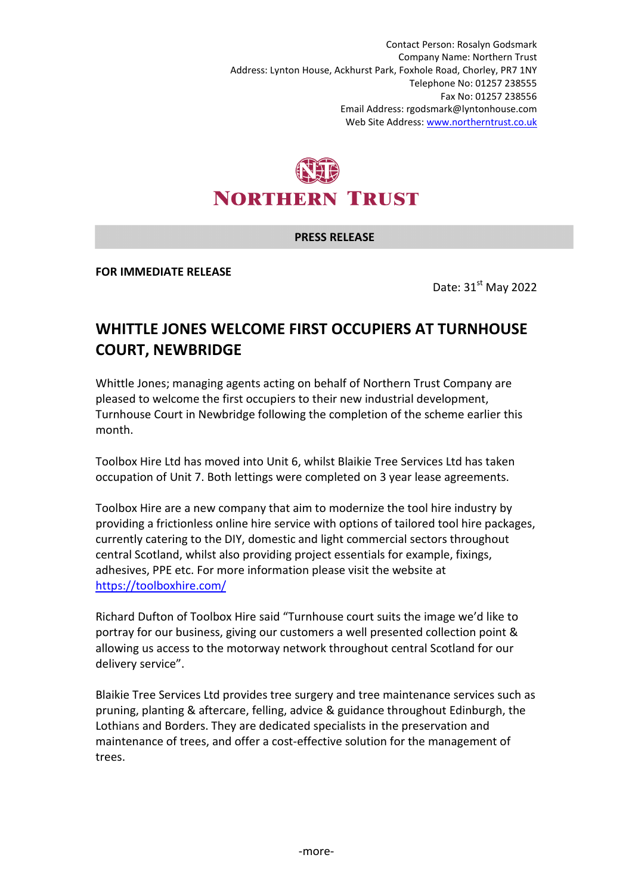Contact Person: Rosalyn Godsmark Company Name: Northern Trust Address: Lynton House, Ackhurst Park, Foxhole Road, Chorley, PR7 1NY Telephone No: 01257 238555 Fax No: 01257 238556 Email Address: rgodsmark@lyntonhouse.com Web Site Address: www.northerntrust.co.uk



## **PRESS RELEASE**

**FOR IMMEDIATE RELEASE** 

Date: 31<sup>st</sup> May 2022

## **WHITTLE JONES WELCOME FIRST OCCUPIERS AT TURNHOUSE COURT, NEWBRIDGE**

Whittle Jones; managing agents acting on behalf of Northern Trust Company are pleased to welcome the first occupiers to their new industrial development, Turnhouse Court in Newbridge following the completion of the scheme earlier this month.

Toolbox Hire Ltd has moved into Unit 6, whilst Blaikie Tree Services Ltd has taken occupation of Unit 7. Both lettings were completed on 3 year lease agreements.

Toolbox Hire are a new company that aim to modernize the tool hire industry by providing a frictionless online hire service with options of tailored tool hire packages, currently catering to the DIY, domestic and light commercial sectors throughout central Scotland, whilst also providing project essentials for example, fixings, adhesives, PPE etc. For more information please visit the website at https://toolboxhire.com/

Richard Dufton of Toolbox Hire said "Turnhouse court suits the image we'd like to portray for our business, giving our customers a well presented collection point & allowing us access to the motorway network throughout central Scotland for our delivery service".

Blaikie Tree Services Ltd provides tree surgery and tree maintenance services such as pruning, planting & aftercare, felling, advice & guidance throughout Edinburgh, the Lothians and Borders. They are dedicated specialists in the preservation and maintenance of trees, and offer a cost-effective solution for the management of trees.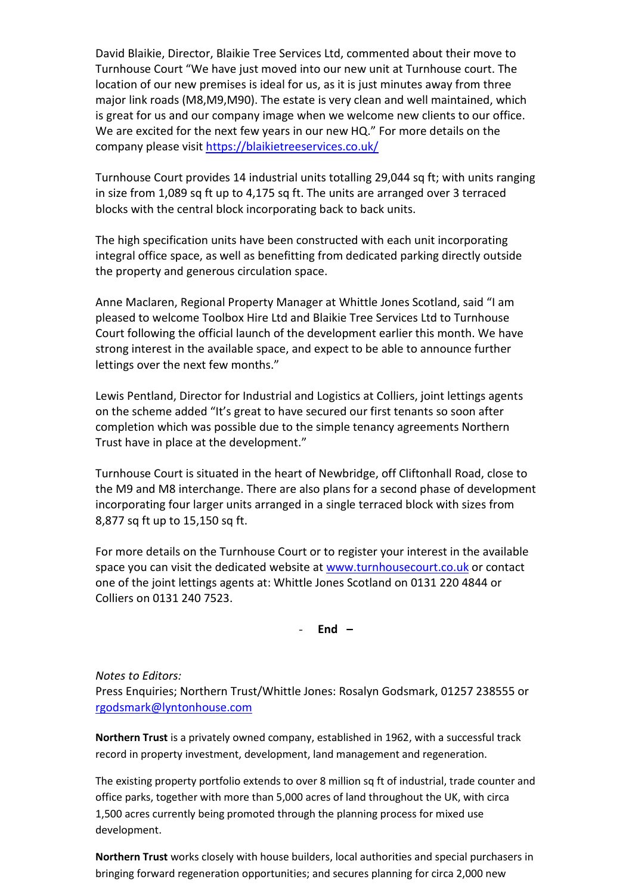David Blaikie, Director, Blaikie Tree Services Ltd, commented about their move to Turnhouse Court "We have just moved into our new unit at Turnhouse court. The location of our new premises is ideal for us, as it is just minutes away from three major link roads (M8,M9,M90). The estate is very clean and well maintained, which is great for us and our company image when we welcome new clients to our office. We are excited for the next few years in our new HQ." For more details on the company please visit https://blaikietreeservices.co.uk/

Turnhouse Court provides 14 industrial units totalling 29,044 sq ft; with units ranging in size from 1,089 sq ft up to 4,175 sq ft. The units are arranged over 3 terraced blocks with the central block incorporating back to back units.

The high specification units have been constructed with each unit incorporating integral office space, as well as benefitting from dedicated parking directly outside the property and generous circulation space.

Anne Maclaren, Regional Property Manager at Whittle Jones Scotland, said "I am pleased to welcome Toolbox Hire Ltd and Blaikie Tree Services Ltd to Turnhouse Court following the official launch of the development earlier this month. We have strong interest in the available space, and expect to be able to announce further lettings over the next few months."

Lewis Pentland, Director for Industrial and Logistics at Colliers, joint lettings agents on the scheme added "It's great to have secured our first tenants so soon after completion which was possible due to the simple tenancy agreements Northern Trust have in place at the development."

Turnhouse Court is situated in the heart of Newbridge, off Cliftonhall Road, close to the M9 and M8 interchange. There are also plans for a second phase of development incorporating four larger units arranged in a single terraced block with sizes from 8,877 sq ft up to 15,150 sq ft.

For more details on the Turnhouse Court or to register your interest in the available space you can visit the dedicated website at www.turnhousecourt.co.uk or contact one of the joint lettings agents at: Whittle Jones Scotland on 0131 220 4844 or Colliers on 0131 240 7523.

- **End –** 

*Notes to Editors:*

Press Enquiries; Northern Trust/Whittle Jones: Rosalyn Godsmark, 01257 238555 or rgodsmark@lyntonhouse.com

**Northern Trust** is a privately owned company, established in 1962, with a successful track record in property investment, development, land management and regeneration.

The existing property portfolio extends to over 8 million sq ft of industrial, trade counter and office parks, together with more than 5,000 acres of land throughout the UK, with circa 1,500 acres currently being promoted through the planning process for mixed use development.

**Northern Trust** works closely with house builders, local authorities and special purchasers in bringing forward regeneration opportunities; and secures planning for circa 2,000 new